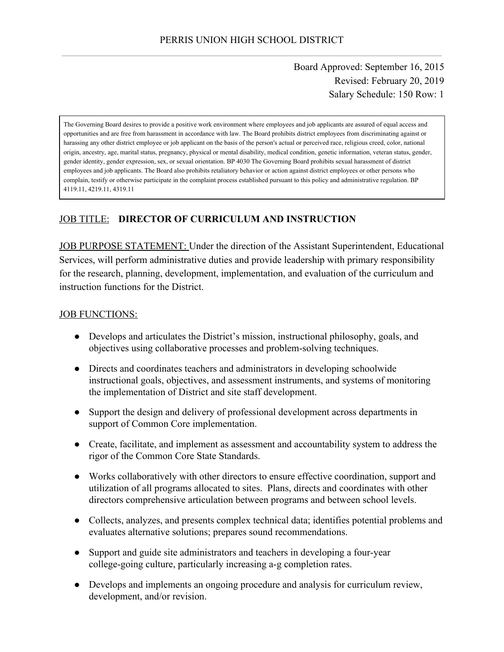Board Approved: September 16, 2015 Revised: February 20, 2019 Salary Schedule: 150 Row: 1

The Governing Board desires to provide a positive work environment where employees and job applicants are assured of equal access and opportunities and are free from harassment in accordance with law. The Board prohibits district employees from discriminating against or harassing any other district employee or job applicant on the basis of the person's actual or perceived race, religious creed, color, national origin, ancestry, age, marital status, pregnancy, physical or mental disability, medical condition, genetic information, veteran status, gender, gender identity, gender expression, sex, or sexual orientation. BP 4030 The Governing Board prohibits sexual harassment of district employees and job applicants. The Board also prohibits retaliatory behavior or action against district employees or other persons who complain, testify or otherwise participate in the complaint process established pursuant to this policy and administrative regulation. BP 4119.11, 4219.11, 4319.11

# JOB TITLE: **DIRECTOR OF CURRICULUM AND INSTRUCTION**

JOB PURPOSE STATEMENT: Under the direction of the Assistant Superintendent, Educational Services, will perform administrative duties and provide leadership with primary responsibility for the research, planning, development, implementation, and evaluation of the curriculum and instruction functions for the District.

#### JOB FUNCTIONS:

- Develops and articulates the District's mission, instructional philosophy, goals, and objectives using collaborative processes and problem-solving techniques.
- Directs and coordinates teachers and administrators in developing schoolwide instructional goals, objectives, and assessment instruments, and systems of monitoring the implementation of District and site staff development.
- Support the design and delivery of professional development across departments in support of Common Core implementation.
- Create, facilitate, and implement as assessment and accountability system to address the rigor of the Common Core State Standards.
- Works collaboratively with other directors to ensure effective coordination, support and utilization of all programs allocated to sites. Plans, directs and coordinates with other directors comprehensive articulation between programs and between school levels.
- Collects, analyzes, and presents complex technical data; identifies potential problems and evaluates alternative solutions; prepares sound recommendations.
- Support and guide site administrators and teachers in developing a four-year college-going culture, particularly increasing a-g completion rates.
- Develops and implements an ongoing procedure and analysis for curriculum review, development, and/or revision.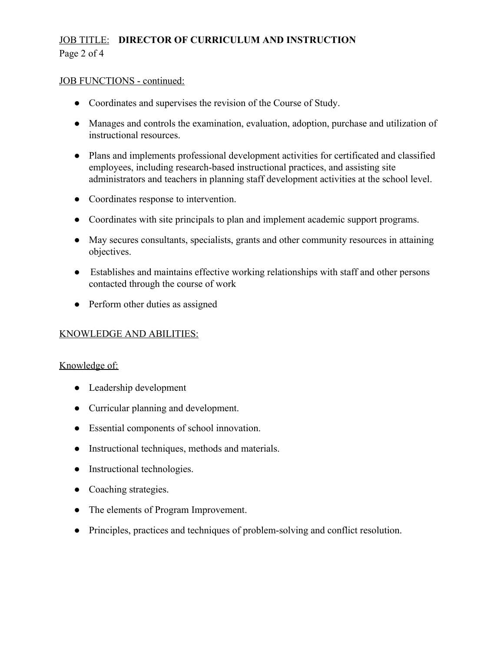# JOB TITLE: **DIRECTOR OF CURRICULUM AND INSTRUCTION** Page 2 of 4

#### JOB FUNCTIONS - continued:

- Coordinates and supervises the revision of the Course of Study.
- Manages and controls the examination, evaluation, adoption, purchase and utilization of instructional resources.
- Plans and implements professional development activities for certificated and classified employees, including research-based instructional practices, and assisting site administrators and teachers in planning staff development activities at the school level.
- Coordinates response to intervention.
- Coordinates with site principals to plan and implement academic support programs.
- May secures consultants, specialists, grants and other community resources in attaining objectives.
- Establishes and maintains effective working relationships with staff and other persons contacted through the course of work
- Perform other duties as assigned

# KNOWLEDGE AND ABILITIES:

#### Knowledge of:

- Leadership development
- Curricular planning and development.
- Essential components of school innovation.
- Instructional techniques, methods and materials.
- Instructional technologies.
- Coaching strategies.
- The elements of Program Improvement.
- Principles, practices and techniques of problem-solving and conflict resolution.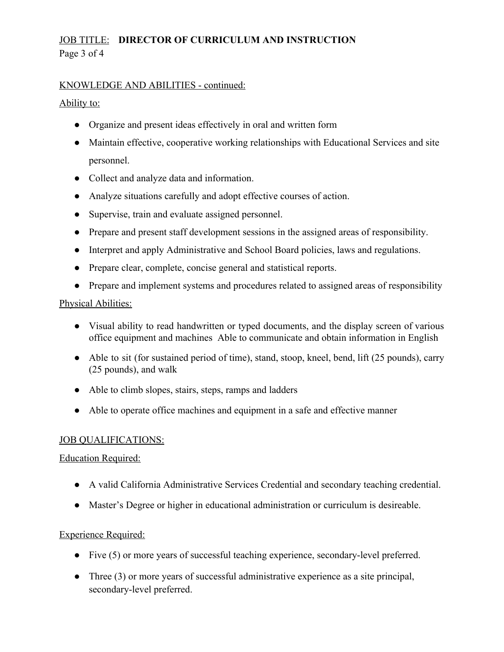# JOB TITLE: **DIRECTOR OF CURRICULUM AND INSTRUCTION** Page 3 of 4

### KNOWLEDGE AND ABILITIES - continued:

### Ability to:

- Organize and present ideas effectively in oral and written form
- Maintain effective, cooperative working relationships with Educational Services and site personnel.
- Collect and analyze data and information.
- Analyze situations carefully and adopt effective courses of action.
- Supervise, train and evaluate assigned personnel.
- Prepare and present staff development sessions in the assigned areas of responsibility.
- Interpret and apply Administrative and School Board policies, laws and regulations.
- Prepare clear, complete, concise general and statistical reports.
- Prepare and implement systems and procedures related to assigned areas of responsibility

### Physical Abilities:

- Visual ability to read handwritten or typed documents, and the display screen of various office equipment and machines Able to communicate and obtain information in English
- Able to sit (for sustained period of time), stand, stoop, kneel, bend, lift (25 pounds), carry (25 pounds), and walk
- Able to climb slopes, stairs, steps, ramps and ladders
- Able to operate office machines and equipment in a safe and effective manner

# JOB QUALIFICATIONS:

# Education Required:

- A valid California Administrative Services Credential and secondary teaching credential.
- Master's Degree or higher in educational administration or curriculum is desireable.

# Experience Required:

- Five (5) or more years of successful teaching experience, secondary-level preferred.
- Three (3) or more years of successful administrative experience as a site principal, secondary-level preferred.